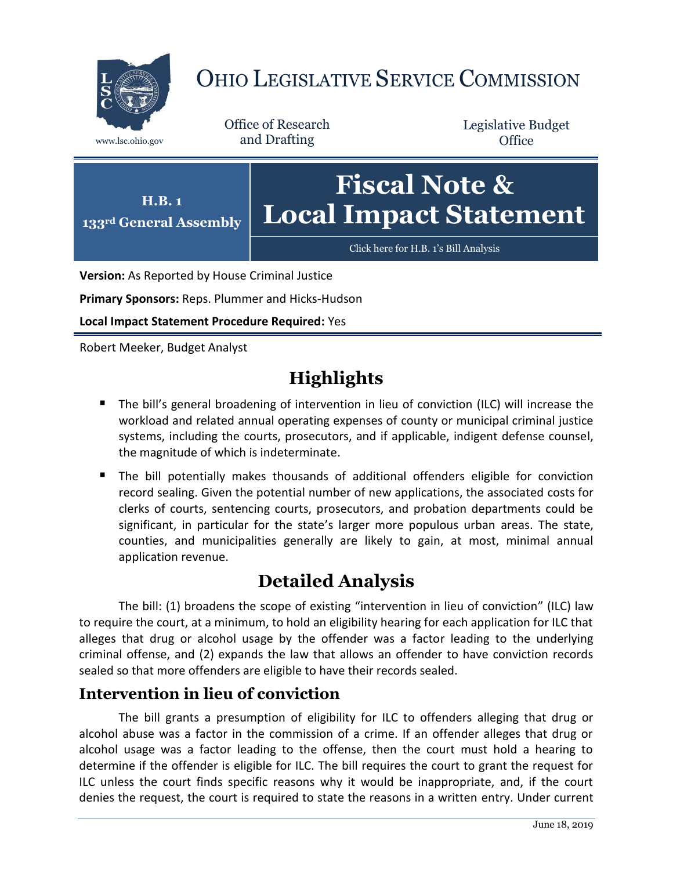

# OHIO LEGISLATIVE SERVICE COMMISSION

Office of Research www.lsc.ohio.gov and Drafting

Legislative Budget **Office** 



**Version:** As Reported by House Criminal Justice

**Primary Sponsors:** Reps. Plummer and Hicks-Hudson

**Local Impact Statement Procedure Required:** Yes

Robert Meeker, Budget Analyst

## **Highlights**

- The bill's general broadening of intervention in lieu of conviction (ILC) will increase the workload and related annual operating expenses of county or municipal criminal justice systems, including the courts, prosecutors, and if applicable, indigent defense counsel, the magnitude of which is indeterminate.
- The bill potentially makes thousands of additional offenders eligible for conviction record sealing. Given the potential number of new applications, the associated costs for clerks of courts, sentencing courts, prosecutors, and probation departments could be significant, in particular for the state's larger more populous urban areas. The state, counties, and municipalities generally are likely to gain, at most, minimal annual application revenue.

## **Detailed Analysis**

The bill: (1) broadens the scope of existing "intervention in lieu of conviction" (ILC) law to require the court, at a minimum, to hold an eligibility hearing for each application for ILC that alleges that drug or alcohol usage by the offender was a factor leading to the underlying criminal offense, and (2) expands the law that allows an offender to have conviction records sealed so that more offenders are eligible to have their records sealed.

### **Intervention in lieu of conviction**

The bill grants a presumption of eligibility for ILC to offenders alleging that drug or alcohol abuse was a factor in the commission of a crime. If an offender alleges that drug or alcohol usage was a factor leading to the offense, then the court must hold a hearing to determine if the offender is eligible for ILC. The bill requires the court to grant the request for ILC unless the court finds specific reasons why it would be inappropriate, and, if the court denies the request, the court is required to state the reasons in a written entry. Under current